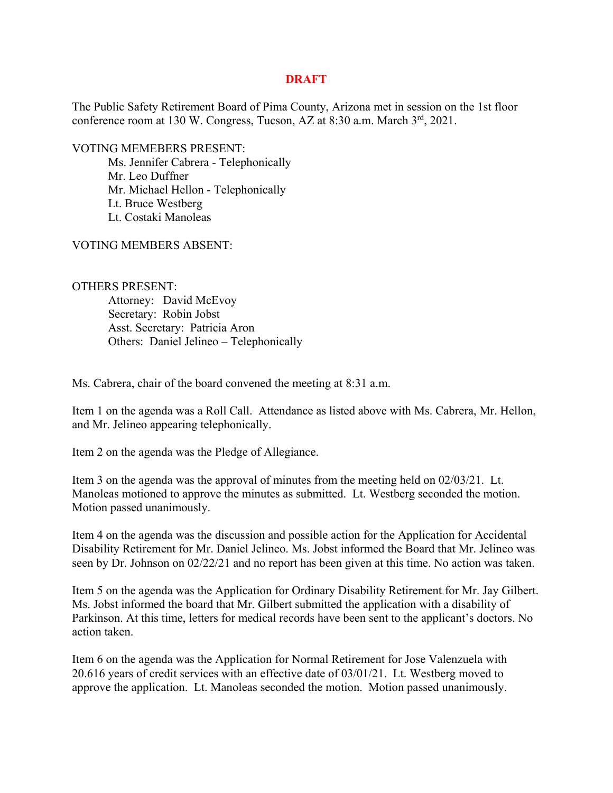## **DRAFT**

The Public Safety Retirement Board of Pima County, Arizona met in session on the 1st floor conference room at 130 W. Congress, Tucson, AZ at 8:30 a.m. March 3<sup>rd</sup>, 2021.

VOTING MEMEBERS PRESENT:

 Ms. Jennifer Cabrera - Telephonically Mr. Leo Duffner Mr. Michael Hellon - Telephonically Lt. Bruce Westberg Lt. Costaki Manoleas

VOTING MEMBERS ABSENT:

OTHERS PRESENT: Attorney: David McEvoy Secretary: Robin Jobst Asst. Secretary: Patricia Aron Others: Daniel Jelineo – Telephonically

Ms. Cabrera, chair of the board convened the meeting at 8:31 a.m.

Item 1 on the agenda was a Roll Call. Attendance as listed above with Ms. Cabrera, Mr. Hellon, and Mr. Jelineo appearing telephonically.

Item 2 on the agenda was the Pledge of Allegiance.

Item 3 on the agenda was the approval of minutes from the meeting held on 02/03/21. Lt. Manoleas motioned to approve the minutes as submitted. Lt. Westberg seconded the motion. Motion passed unanimously.

Item 4 on the agenda was the discussion and possible action for the Application for Accidental Disability Retirement for Mr. Daniel Jelineo. Ms. Jobst informed the Board that Mr. Jelineo was seen by Dr. Johnson on 02/22/21 and no report has been given at this time. No action was taken.

Item 5 on the agenda was the Application for Ordinary Disability Retirement for Mr. Jay Gilbert. Ms. Jobst informed the board that Mr. Gilbert submitted the application with a disability of Parkinson. At this time, letters for medical records have been sent to the applicant's doctors. No action taken.

Item 6 on the agenda was the Application for Normal Retirement for Jose Valenzuela with 20.616 years of credit services with an effective date of 03/01/21. Lt. Westberg moved to approve the application. Lt. Manoleas seconded the motion. Motion passed unanimously.